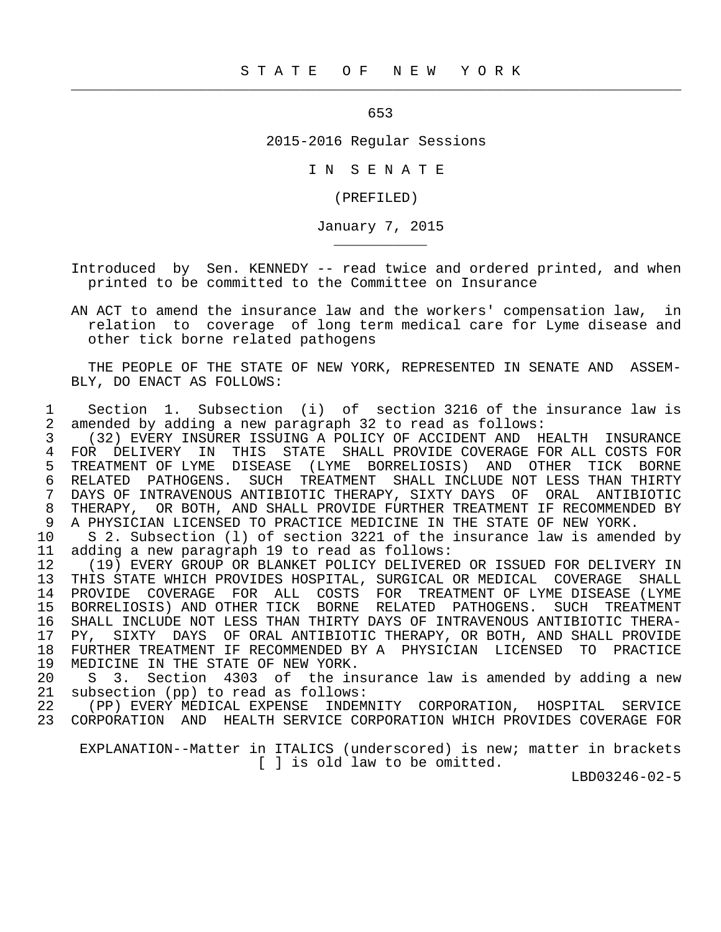$\frac{1}{2}$  , and the contribution of the contribution of the contribution of the contribution of the contribution of the contribution of the contribution of the contribution of the contribution of the contribution of the c

\_\_\_\_\_\_\_\_\_\_\_

 $\sim$  653

2015-2016 Regular Sessions

I N S E N A T E

(PREFILED)

January 7, 2015

 Introduced by Sen. KENNEDY -- read twice and ordered printed, and when printed to be committed to the Committee on Insurance

 AN ACT to amend the insurance law and the workers' compensation law, in relation to coverage of long term medical care for Lyme disease and other tick borne related pathogens

 THE PEOPLE OF THE STATE OF NEW YORK, REPRESENTED IN SENATE AND ASSEM- BLY, DO ENACT AS FOLLOWS:

 1 Section 1. Subsection (i) of section 3216 of the insurance law is 2 amended by adding a new paragraph 32 to read as follows:

 3 (32) EVERY INSURER ISSUING A POLICY OF ACCIDENT AND HEALTH INSURANCE 4 FOR DELIVERY IN THIS STATE SHALL PROVIDE COVERAGE FOR ALL COSTS FOR<br>5 TREATMENT OF LYME DISEASE (LYME BORRELIOSIS) AND OTHER TICK BORNE 5 TREATMENT OF LYME DISEASE (LYME BORRELIOSIS) AND OTHER TICK BORNE<br>6 RELATED PATHOGENS. SUCH TREATMENT SHALL INCLUDE NOT LESS THAN THIRTY 6 RELATED PATHOGENS. SUCH TREATMENT SHALL INCLUDE NOT LESS THAN THIRTY<br>7 DAYS OF INTRAVENOUS ANTIBIOTIC THERAPY, SIXTY DAYS, OF ORAL, ANTIBIOTIC 7 DAYS OF INTRAVENOUS ANTIBIOTIC THERAPY, SIXTY DAYS OF ORAL ANTIBIOTIC 8 THERAPY, OR BOTH, AND SHALL PROVIDE FURTHER TREATMENT IF RECOMMENDED BY<br>9 A PHYSICIAN LICENSED TO PRACTICE MEDICINE IN THE STATE OF NEW YORK 9 A PHYSICIAN LICENSED TO PRACTICE MEDICINE IN THE STATE OF NEW YORK.<br>10 S 2. Subsection (1) of section 3221 of the insurance law is amend

10 S 2. Subsection (1) of section 3221 of the insurance law is amended by<br>11 adding a new paragraph 19 to read as follows: 11 adding a new paragraph 19 to read as follows:

12 (19) EVERY GROUP OR BLANKET POLICY DELIVERED OR ISSUED FOR DELIVERY IN<br>13 THIS STATE WHICH PROVIDES HOSPITAL, SURGICAL OR MEDICAL COVERAGE SHALL THIS STATE WHICH PROVIDES HOSPITAL, SURGICAL OR MEDICAL COVERAGE 14 PROVIDE COVERAGE FOR ALL COSTS FOR TREATMENT OF LYME DISEASE(LYME<br>15 BORRELIOSIS)AND OTHER TICK BORNE RELATED PATHOGENS. SUCH TREATMENT 15 BORRELIOSIS) AND OTHER TICK BORNE RELATED PATHOGENS. SUCH TREATMENT<br>16 SHALL INCLUDE NOT LESS THAN THIRTY DAYS OF INTRAVENOUS ANTIBIOTIC THERA-16 SHALL INCLUDE NOT LESS THAN THIRTY DAYS OF INTRAVENOUS ANTIBIOTIC THERA-<br>17 PY, SIXTY DAYS OF ORAL ANTIBIOTIC THERAPY, OR BOTH, AND SHALL PROVIDE 17 PY, SIXTY DAYS OF ORAL ANTIBIOTIC THERAPY, OR BOTH, AND SHALL PROVIDE 18 FURTHER TREATMENT IF RECOMMENDED BY A PHYSICIAN LICENSED TO PRACTICE 19 MEDICINE IN THE STATE OF NEW YORK.<br>20 S 3. Section 4303 of the in

20 S 3. Section 4303 of the insurance law is amended by adding a new 21 subsection (pp) to read as follows: 21 subsection (pp) to read as follows:<br>22 (PP) EVERY MEDICAL EXPENSE INDEM

INDEMNITY CORPORATION, HOSPITAL SERVICE 23 CORPORATION AND HEALTH SERVICE CORPORATION WHICH PROVIDES COVERAGE FOR

 EXPLANATION--Matter in ITALICS (underscored) is new; matter in brackets [ ] is old law to be omitted.

LBD03246-02-5